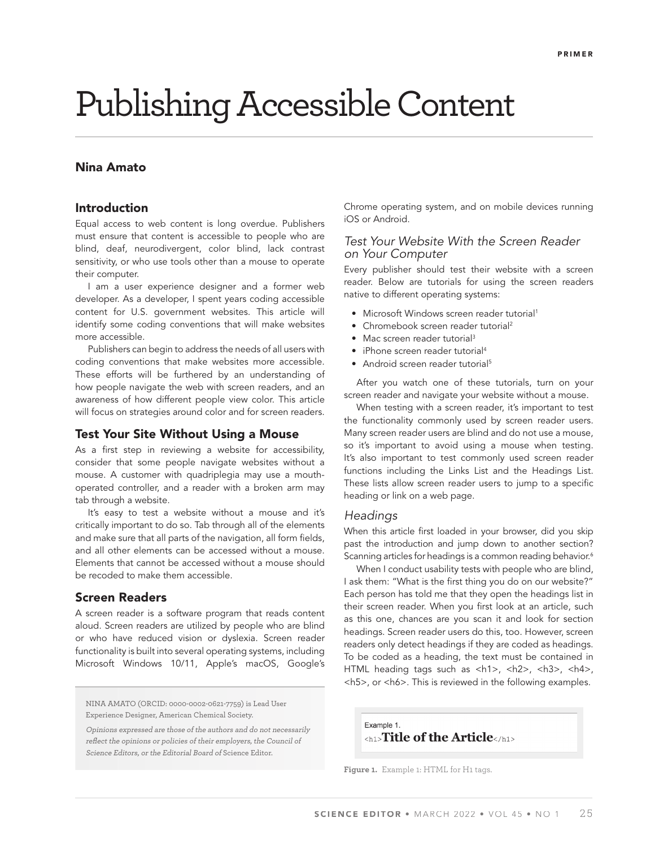# Publishing Accessible Content

# Nina Amato

## Introduction

Equal access to web content is long overdue. Publishers must ensure that content is accessible to people who are blind, deaf, neurodivergent, color blind, lack contrast sensitivity, or who use tools other than a mouse to operate their computer.

I am a user experience designer and a former web developer. As a developer, I spent years coding accessible content for U.S. government websites. This article will identify some coding conventions that will make websites more accessible.

Publishers can begin to address the needs of all users with coding conventions that make websites more accessible. These efforts will be furthered by an understanding of how people navigate the web with screen readers, and an awareness of how different people view color. This article will focus on strategies around color and for screen readers.

## Test Your Site Without Using a Mouse

As a first step in reviewing a website for accessibility, consider that some people navigate websites without a mouse. A customer with quadriplegia may use a mouthoperated controller, and a reader with a broken arm may tab through a website.

It's easy to test a website without a mouse and it's critically important to do so. Tab through all of the elements and make sure that all parts of the navigation, all form fields, and all other elements can be accessed without a mouse. Elements that cannot be accessed without a mouse should be recoded to make them accessible.

## Screen Readers

A screen reader is a software program that reads content aloud. Screen readers are utilized by people who are blind or who have reduced vision or dyslexia. Screen reader functionality is built into several operating systems, including Microsoft Windows 10/11, Apple's macOS, Google's

NINA AMATO (ORCID: 0000-0002-0621-7759) is Lead User Experience Designer, American Chemical Society.

Opinions expressed are those of the authors and do not necessarily reflect the opinions or policies of their employers, the Council of Science Editors, or the Editorial Board of Science Editor.

Chrome operating system, and on mobile devices running iOS or Android.

# *Test Your Website With the Screen Reader on Your Computer*

Every publisher should test their website with a screen reader. Below are tutorials for using the screen readers native to different operating systems:

- Microsoft Windows screen reader tutorial<sup>1</sup>
- Chromebook screen reader tutorial<sup>2</sup>
- Mac screen reader tutorial<sup>3</sup>
- iPhone screen reader tutorial4
- Android screen reader tutorial<sup>5</sup>

After you watch one of these tutorials, turn on your screen reader and navigate your website without a mouse.

When testing with a screen reader, it's important to test the functionality commonly used by screen reader users. Many screen reader users are blind and do not use a mouse, so it's important to avoid using a mouse when testing. It's also important to test commonly used screen reader functions including the Links List and the Headings List. These lists allow screen reader users to jump to a specific heading or link on a web page.

## *Headings*

When this article first loaded in your browser, did you skip past the introduction and jump down to another section? Scanning articles for headings is a common reading behavior.<sup>6</sup>

When I conduct usability tests with people who are blind, I ask them: "What is the first thing you do on our website?" Each person has told me that they open the headings list in their screen reader. When you first look at an article, such as this one, chances are you scan it and look for section headings. Screen reader users do this, too. However, screen readers only detect headings if they are coded as headings. To be coded as a heading, the text must be contained in HTML heading tags such as <h1>, <h2>, <h3>, <h4>, <h5>, or <h6>. This is reviewed in the following examples.

Example 1. <h1>**Title of the Article**</h1>

**Figure 1.** Example 1: HTML for H1 tags.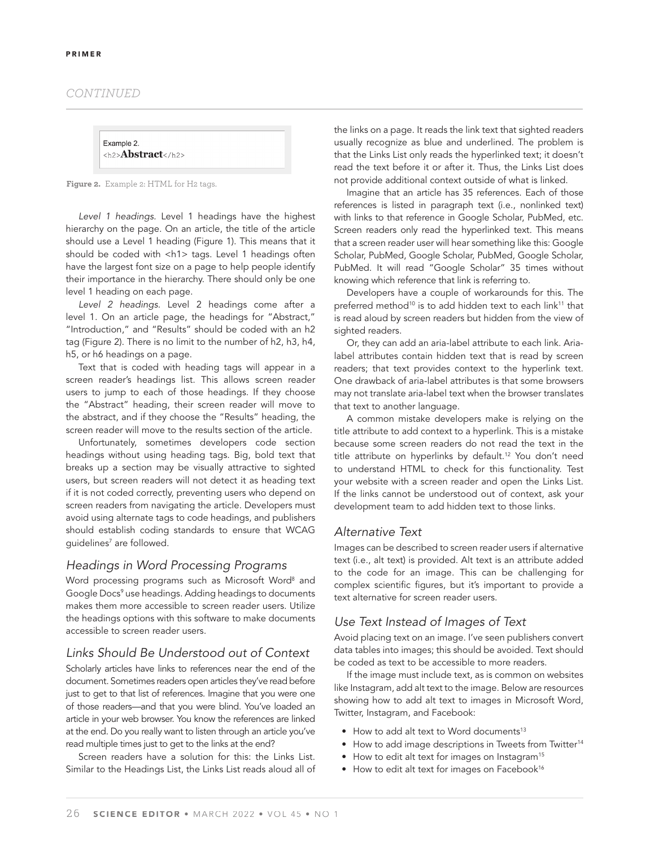#### *CONTINUED*



**Figure 2.** Example 2: HTML for H2 tags.

*Level 1 headings.* Level 1 headings have the highest hierarchy on the page. On an article, the title of the article should use a Level 1 heading (Figure 1). This means that it should be coded with <h1> tags. Level 1 headings often have the largest font size on a page to help people identify their importance in the hierarchy. There should only be one level 1 heading on each page.

*Level 2 headings.* Level 2 headings come after a level 1. On an article page, the headings for "Abstract," "Introduction," and "Results" should be coded with an h2 tag (Figure 2). There is no limit to the number of h2, h3, h4, h5, or h6 headings on a page.

Text that is coded with heading tags will appear in a screen reader's headings list. This allows screen reader users to jump to each of those headings. If they choose the "Abstract" heading, their screen reader will move to the abstract, and if they choose the "Results" heading, the screen reader will move to the results section of the article.

Unfortunately, sometimes developers code section headings without using heading tags. Big, bold text that breaks up a section may be visually attractive to sighted users, but screen readers will not detect it as heading text if it is not coded correctly, preventing users who depend on screen readers from navigating the article. Developers must avoid using alternate tags to code headings, and publishers should establish coding standards to ensure that WCAG guidelines7 are followed.

## *Headings in Word Processing Programs*

Word processing programs such as Microsoft Word<sup>8</sup> and Google Docs<sup>9</sup> use headings. Adding headings to documents makes them more accessible to screen reader users. Utilize the headings options with this software to make documents accessible to screen reader users.

## *Links Should Be Understood out of Context*

Scholarly articles have links to references near the end of the document. Sometimes readers open articles they've read before just to get to that list of references. Imagine that you were one of those readers—and that you were blind. You've loaded an article in your web browser. You know the references are linked at the end. Do you really want to listen through an article you've read multiple times just to get to the links at the end?

Screen readers have a solution for this: the Links List. Similar to the Headings List, the Links List reads aloud all of the links on a page. It reads the link text that sighted readers usually recognize as blue and underlined. The problem is that the Links List only reads the hyperlinked text; it doesn't read the text before it or after it. Thus, the Links List does not provide additional context outside of what is linked.

Imagine that an article has 35 references. Each of those references is listed in paragraph text (i.e., nonlinked text) with links to that reference in Google Scholar, PubMed, etc. Screen readers only read the hyperlinked text. This means that a screen reader user will hear something like this: Google Scholar, PubMed, Google Scholar, PubMed, Google Scholar, PubMed. It will read "Google Scholar" 35 times without knowing which reference that link is referring to.

Developers have a couple of workarounds for this. The preferred method<sup>10</sup> is to add hidden text to each link<sup>11</sup> that is read aloud by screen readers but hidden from the view of sighted readers.

Or, they can add an aria-label attribute to each link. Arialabel attributes contain hidden text that is read by screen readers; that text provides context to the hyperlink text. One drawback of aria-label attributes is that some browsers may not translate aria-label text when the browser translates that text to another language.

A common mistake developers make is relying on the title attribute to add context to a hyperlink. This is a mistake because some screen readers do not read the text in the title attribute on hyperlinks by default.<sup>12</sup> You don't need to understand HTML to check for this functionality. Test your website with a screen reader and open the Links List. If the links cannot be understood out of context, ask your development team to add hidden text to those links.

## *Alternative Text*

Images can be described to screen reader users if alternative text (i.e., alt text) is provided. Alt text is an attribute added to the code for an image. This can be challenging for complex scientific figures, but it's important to provide a text alternative for screen reader users.

# *Use Text Instead of Images of Text*

Avoid placing text on an image. I've seen publishers convert data tables into images; this should be avoided. Text should be coded as text to be accessible to more readers.

If the image must include text, as is common on websites like Instagram, add alt text to the image. Below are resources showing how to add alt text to images in Microsoft Word, Twitter, Instagram, and Facebook:

- How to add alt text to Word documents<sup>13</sup>
- How to add image descriptions in Tweets from Twitter<sup>14</sup>
- How to edit alt text for images on Instagram<sup>15</sup>
- How to edit alt text for images on Facebook<sup>16</sup>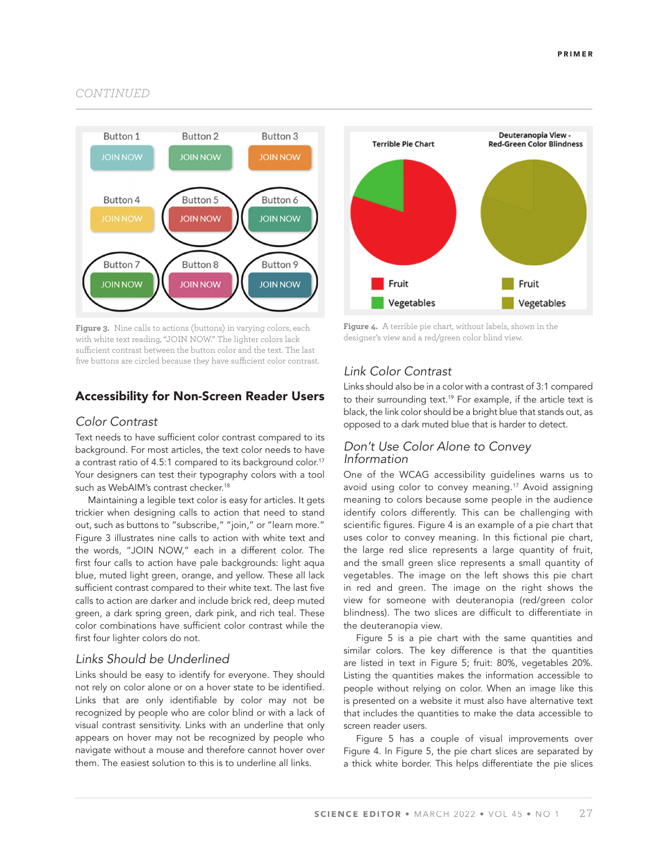## *CONTINUED*



**Figure 3.** Nine calls to actions (buttons) in varying colors, each with white text reading, "JOIN NOW." The lighter colors lack sufficient contrast between the button color and the text. The last five buttons are circled because they have sufficient color contrast.

# Accessibility for Non-Screen Reader Users

## *Color Contrast*

Text needs to have sufficient color contrast compared to its background. For most articles, the text color needs to have a contrast ratio of 4.5:1 compared to its background color.<sup>17</sup> Your designers can test their typography colors with a tool such as WebAIM's contrast checker.<sup>18</sup>

Maintaining a legible text color is easy for articles. It gets trickier when designing calls to action that need to stand out, such as buttons to "subscribe," "join," or "learn more." Figure 3 illustrates nine calls to action with white text and the words, "JOIN NOW," each in a different color. The first four calls to action have pale backgrounds: light aqua blue, muted light green, orange, and yellow. These all lack sufficient contrast compared to their white text. The last five calls to action are darker and include brick red, deep muted green, a dark spring green, dark pink, and rich teal. These color combinations have sufficient color contrast while the first four lighter colors do not.

# *Links Should be Underlined*

Links should be easy to identify for everyone. They should not rely on color alone or on a hover state to be identified. Links that are only identifiable by color may not be recognized by people who are color blind or with a lack of visual contrast sensitivity. Links with an underline that only appears on hover may not be recognized by people who navigate without a mouse and therefore cannot hover over them. The easiest solution to this is to underline all links.



**Figure 4.** A terrible pie chart, without labels, shown in the designer's view and a red/green color blind view.

# *Link Color Contrast*

Links should also be in a color with a contrast of 3:1 compared to their surrounding text.<sup>19</sup> For example, if the article text is black, the link color should be a bright blue that stands out, as opposed to a dark muted blue that is harder to detect.

# *Don't Use Color Alone to Convey Information*

One of the WCAG accessibility guidelines warns us to avoid using color to convey meaning.<sup>17</sup> Avoid assigning meaning to colors because some people in the audience identify colors differently. This can be challenging with scientific figures. Figure 4 is an example of a pie chart that uses color to convey meaning. In this fictional pie chart, the large red slice represents a large quantity of fruit, and the small green slice represents a small quantity of vegetables. The image on the left shows this pie chart in red and green. The image on the right shows the view for someone with deuteranopia (red/green color blindness). The two slices are difficult to differentiate in the deuteranopia view.

Figure 5 is a pie chart with the same quantities and similar colors. The key difference is that the quantities are listed in text in Figure 5; fruit: 80%, vegetables 20%. Listing the quantities makes the information accessible to people without relying on color. When an image like this is presented on a website it must also have alternative text that includes the quantities to make the data accessible to screen reader users.

Figure 5 has a couple of visual improvements over Figure 4. In Figure 5, the pie chart slices are separated by a thick white border. This helps differentiate the pie slices